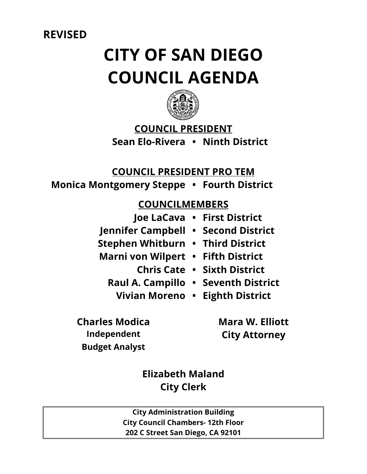**REVISED** 

# **CITY OF SAN DIEGO COUNCIL AGENDA**



# **COUNCIL PRESIDENT Sean Elo-Rivera • Ninth District**

# **COUNCIL PRESIDENT PRO TEM**

**Monica Montgomery Steppe • Fourth District**

# **COUNCILMEMBERS**

- **Joe LaCava • First District Jennifer Campbell • Second District Stephen Whitburn • Third District Marni von Wilpert • Fifth District Chris Cate • Sixth District**
	-
	- **Raul A. Campillo • Seventh District**
		- **Vivian Moreno • Eighth District**
- **Independent City Attorney**

**Charles Modica Mara W. Elliott Budget Analyst**

> **Elizabeth Maland City Clerk**

**City Administration Building City Council Chambers- 12th Floor 202 C Street San Diego, CA 92101**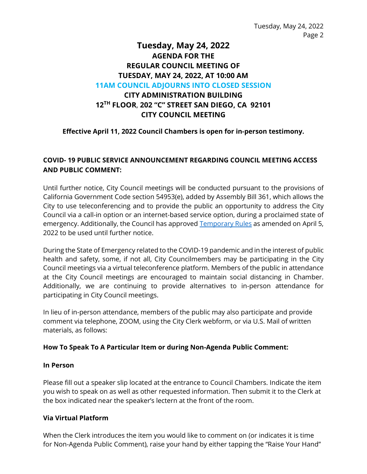Tuesday, May 24, 2022 Page 2

# **Tuesday, May 24, 2022 AGENDA FOR THE REGULAR COUNCIL MEETING OF TUESDAY, MAY 24, 2022, AT 10:00 AM 11AM COUNCIL ADJOURNS INTO CLOSED SESSION CITY ADMINISTRATION BUILDING 12TH FLOOR**, **202 "C" STREET SAN DIEGO, CA 92101**

# **CITY COUNCIL MEETING**

# **Effective April 11, 2022 Council Chambers is open for in-person testimony.**

# **COVID- 19 PUBLIC SERVICE ANNOUNCEMENT REGARDING COUNCIL MEETING ACCESS AND PUBLIC COMMENT:**

Until further notice, City Council meetings will be conducted pursuant to the provisions of California Government Code section 54953(e), added by Assembly Bill 361, which allows the City to use teleconferencing and to provide the public an opportunity to address the City Council via a call-in option or an internet-based service option, during a proclaimed state of emergency. Additionally, the Council has approved [Temporary Rules](https://docs.sandiego.gov/council_reso_ordinance/rao2022/R-314029.pdf) as amended on April 5, 2022 to be used until further notice.

During the State of Emergency related to the COVID-19 pandemic and in the interest of public health and safety, some, if not all, City Councilmembers may be participating in the City Council meetings via a virtual teleconference platform. Members of the public in attendance at the City Council meetings are encouraged to maintain social distancing in Chamber. Additionally, we are continuing to provide alternatives to in-person attendance for participating in City Council meetings.

In lieu of in-person attendance, members of the public may also participate and provide comment via telephone, ZOOM, using the City Clerk webform, or via U.S. Mail of written materials, as follows:

# **How To Speak To A Particular Item or during Non-Agenda Public Comment:**

#### **In Person**

Please fill out a speaker slip located at the entrance to Council Chambers. Indicate the item you wish to speak on as well as other requested information. Then submit it to the Clerk at the box indicated near the speaker's lectern at the front of the room.

#### **Via Virtual Platform**

When the Clerk introduces the item you would like to comment on (or indicates it is time for Non-Agenda Public Comment), raise your hand by either tapping the "Raise Your Hand"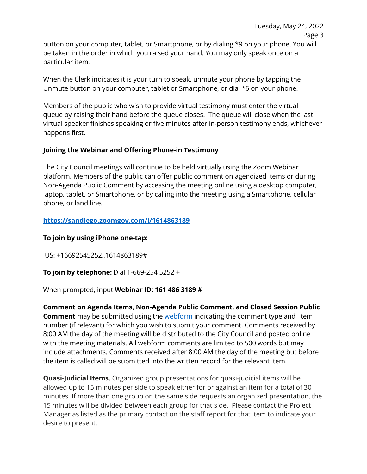When the Clerk indicates it is your turn to speak, unmute your phone by tapping the Unmute button on your computer, tablet or Smartphone, or dial \*6 on your phone.

Members of the public who wish to provide virtual testimony must enter the virtual queue by raising their hand before the queue closes. The queue will close when the last virtual speaker finishes speaking or five minutes after in-person testimony ends, whichever happens first.

# **Joining the Webinar and Offering Phone-in Testimony**

The City Council meetings will continue to be held virtually using the Zoom Webinar platform. Members of the public can offer public comment on agendized items or during Non-Agenda Public Comment by accessing the meeting online using a desktop computer, laptop, tablet, or Smartphone, or by calling into the meeting using a Smartphone, cellular phone, or land line.

# **<https://sandiego.zoomgov.com/j/1614863189>**

# **To join by using iPhone one-tap:**

US: +16692545252,,1614863189#

# **To join by telephone:** Dial 1-669-254 5252 +

When prompted, input **Webinar ID: 161 486 3189 #** 

**Comment on Agenda Items, Non-Agenda Public Comment, and Closed Session Public Comment** may be submitted using the [webform](https://www.sandiego.gov/form/agenda-comment-form) indicating the comment type and item number (if relevant) for which you wish to submit your comment. Comments received by 8:00 AM the day of the meeting will be distributed to the City Council and posted online with the meeting materials. All webform comments are limited to 500 words but may include attachments. Comments received after 8:00 AM the day of the meeting but before the item is called will be submitted into the written record for the relevant item.

**Quasi-Judicial Items.** Organized group presentations for quasi-judicial items will be allowed up to 15 minutes per side to speak either for or against an item for a total of 30 minutes. If more than one group on the same side requests an organized presentation, the 15 minutes will be divided between each group for that side. Please contact the Project Manager as listed as the primary contact on the staff report for that item to indicate your desire to present.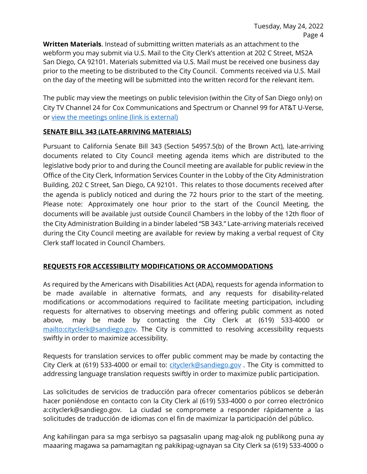**Written Materials**. Instead of submitting written materials as an attachment to the webform you may submit via U.S. Mail to the City Clerk's attention at 202 C Street, MS2A San Diego, CA 92101. Materials submitted via U.S. Mail must be received one business day prior to the meeting to be distributed to the City Council. Comments received via U.S. Mail on the day of the meeting will be submitted into the written record for the relevant item.

The public may view the meetings on public television (within the City of San Diego only) on City TV Channel 24 for Cox Communications and Spectrum or Channel 99 for AT&T U-Verse, or [view the meetings online \(link is external\)](http://sandiego.granicus.com/ViewPublisher.php?view_id=31) 

# **SENATE BILL 343 (LATE-ARRIVING MATERIALS)**

Pursuant to California Senate Bill 343 (Section 54957.5(b) of the Brown Act), late-arriving documents related to City Council meeting agenda items which are distributed to the legislative body prior to and during the Council meeting are available for public review in the Office of the City Clerk, Information Services Counter in the Lobby of the City Administration Building, 202 C Street, San Diego, CA 92101. This relates to those documents received after the agenda is publicly noticed and during the 72 hours prior to the start of the meeting. Please note: Approximately one hour prior to the start of the Council Meeting, the documents will be available just outside Council Chambers in the lobby of the 12th floor of the City Administration Building in a binder labeled "SB 343." Late-arriving materials received during the City Council meeting are available for review by making a verbal request of City Clerk staff located in Council Chambers.

# **REQUESTS FOR ACCESSIBILITY MODIFICATIONS OR ACCOMMODATIONS**

As required by the Americans with Disabilities Act (ADA), requests for agenda information to be made available in alternative formats, and any requests for disability-related modifications or accommodations required to facilitate meeting participation, including requests for alternatives to observing meetings and offering public comment as noted above, may be made by contacting the City Clerk at (619) 533-4000 or [mailto:cityclerk@sandiego.gov.](mailto:cityclerk@sandiego.gov) The City is committed to resolving accessibility requests swiftly in order to maximize accessibility.

Requests for translation services to offer public comment may be made by contacting the City Clerk at (619) 533-4000 or email to: [cityclerk@sandiego.gov](mailto:cityclerk@sandiego.gov). The City is committed to addressing language translation requests swiftly in order to maximize public participation.

Las solicitudes de servicios de traducción para ofrecer comentarios públicos se deberán hacer poniéndose en contacto con la City Clerk al (619) 533-4000 o por correo electrónico a:cityclerk@sandiego.gov. La ciudad se compromete a responder rápidamente a las solicitudes de traducción de idiomas con el fin de maximizar la participación del público.

Ang kahilingan para sa mga serbisyo sa pagsasalin upang mag-alok ng publikong puna ay maaaring magawa sa pamamagitan ng pakikipag-ugnayan sa City Clerk sa (619) 533-4000 o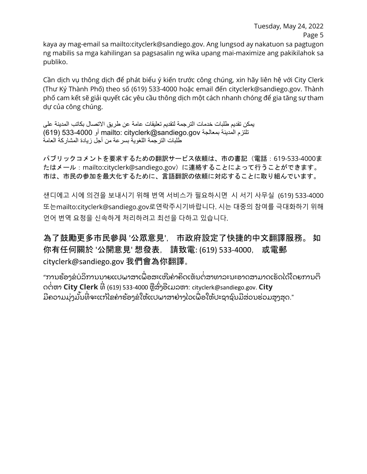Tuesday, May 24, 2022 Page 5

kaya ay mag-email sa mailto:cityclerk@sandiego.gov. Ang lungsod ay nakatuon sa pagtugon ng mabilis sa mga kahilingan sa pagsasalin ng wika upang mai-maximize ang pakikilahok sa publiko.

Cần dịch vụ thông dịch để phát biểu ý kiến trước công chúng, xin hãy liên hệ với City Clerk (Thư Ký Thành Phố) theo số (619) 533-4000 hoặc email đến cityclerk@sandiego.gov. Thành phố cam kết sẽ giải quyết các yêu cầu thông dịch một cách nhanh chóng để gia tăng sự tham dự của công chúng.

یمكن تقدیم طلبات خدمات الترجمة لتقدیم تعلیقات عامة عن طریق الاتصال بكاتب المدینة على تلتزم المدینة بمعالجة gov.sandiego@cityclerk :mailto أو 533-4000 (619) طلبات الترجمة اللغویة بسرعة من أجل زیادة المشاركة العامة

パブリックコメントを要求するための翻訳サービス依頼は、市の書記(電話:619-533-4000ま たはメール:mailto:cityclerk@sandiego.gov)に連絡することによって行うことができます。 市は、市民の参加を最大化するために、言語翻訳の依頼に対応することに取り組んでいます。

샌디에고 시에 의견을 보내시기 위해 번역 서비스가 필요하시면 시 서기 사무실 (619) 533-4000 또는mailto:cityclerk@sandiego.gov로연락주시기바랍니다. 시는 대중의 참여를 극대화하기 위해 언어 번역 요청을 신속하게 처리하려고 최선을 다하고 있습니다.

為了鼓勵更多市民參與 '公眾意見', 市政府設定了快捷的中文翻譯服務。 如 你有任何關於 '公開意見' 想發表, 請致電: (619) 533-4000, 或電郵 cityclerk@sandiego.gov 我們會為你翻譯。

"ການຮ້ອງຂໍບໍລິການນາຍແປພາສາເພື່ອສະເໜີຄຳຄິດເຫັນຕໍ່ສາທາລະນະອາດສາມາດເຮັດໄດ້ໂດຍການຕິ ດຕໍ່ຫາ **City Clerk** ທີ່ (619) 533-4000 ຫຼືສົ່ງອີເມລຫາ: cityclerk@sandiego.gov. **City** ່ ມີຄວາມມຸ່ງມັນທີ່ຈະແກ້ໄຂຄໍາຮ້ອງຂໍໃຫ້ແປພາສາຢ່າງໄວເພື່ອໃຫ້ປະຊາຊົນມີສ່ວນຮ່ວມສູງສຸດ."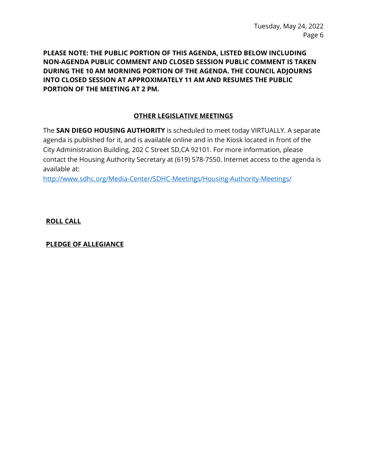**PLEASE NOTE: THE PUBLIC PORTION OF THIS AGENDA, LISTED BELOW INCLUDING NON-AGENDA PUBLIC COMMENT AND CLOSED SESSION PUBLIC COMMENT IS TAKEN DURING THE 10 AM MORNING PORTION OF THE AGENDA. THE COUNCIL ADJOURNS INTO CLOSED SESSION AT APPROXIMATELY 11 AM AND RESUMES THE PUBLIC PORTION OF THE MEETING AT 2 PM.** 

# **OTHER LEGISLATIVE MEETINGS**

The **SAN DIEGO HOUSING AUTHORITY** is scheduled to meet today VIRTUALLY. A separate agenda is published for it, and is available online and in the Kiosk located in front of the City Administration Building, 202 C Street SD,CA 92101. For more information, please contact the Housing Authority Secretary at (619) 578-7550. Internet access to the agenda is available at:

<http://www.sdhc.org/Media-Center/SDHC-Meetings/Housing-Authority-Meetings/>

**ROLL CALL**

**PLEDGE OF ALLEGIANCE**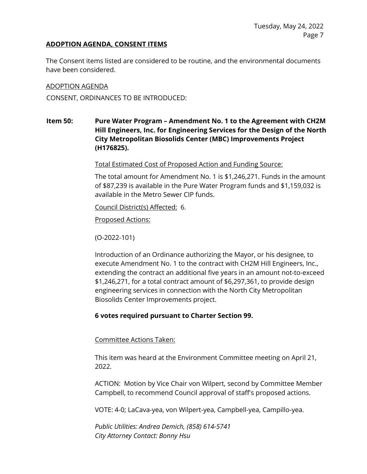#### **ADOPTION AGENDA, CONSENT ITEMS**

The Consent items listed are considered to be routine, and the environmental documents have been considered.

#### ADOPTION AGENDA

CONSENT, ORDINANCES TO BE INTRODUCED:

# **Item 50: Pure Water Program – Amendment No. 1 to the Agreement with CH2M Hill Engineers, Inc. for Engineering Services for the Design of the North City Metropolitan Biosolids Center (MBC) Improvements Project (H176825).**

Total Estimated Cost of Proposed Action and Funding Source:

The total amount for Amendment No. 1 is \$1,246,271. Funds in the amount of \$87,239 is available in the Pure Water Program funds and \$1,159,032 is available in the Metro Sewer CIP funds.

Council District(s) Affected: 6.

Proposed Actions:

(O-2022-101)

Introduction of an Ordinance authorizing the Mayor, or his designee, to execute Amendment No. 1 to the contract with CH2M Hill Engineers, Inc., extending the contract an additional five years in an amount not-to-exceed \$1,246,271, for a total contract amount of \$6,297,361, to provide design engineering services in connection with the North City Metropolitan Biosolids Center Improvements project.

# **6 votes required pursuant to Charter Section 99.**

Committee Actions Taken:

This item was heard at the Environment Committee meeting on April 21, 2022.

ACTION: Motion by Vice Chair von Wilpert, second by Committee Member Campbell, to recommend Council approval of staff's proposed actions.

VOTE: 4-0; LaCava-yea, von Wilpert-yea, Campbell-yea, Campillo-yea.

*Public Utilities: Andrea Demich, (858) 614-5741 City Attorney Contact: Bonny Hsu*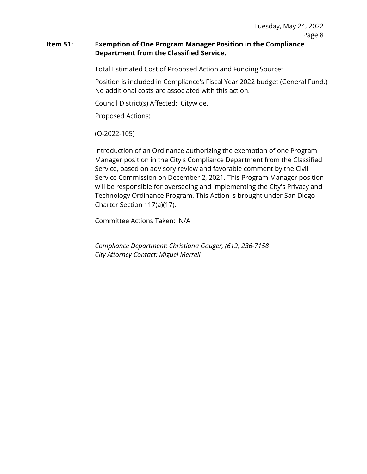#### **Item 51: Exemption of One Program Manager Position in the Compliance Department from the Classified Service.**

Total Estimated Cost of Proposed Action and Funding Source:

Position is included in Compliance's Fiscal Year 2022 budget (General Fund.) No additional costs are associated with this action.

Council District(s) Affected: Citywide.

Proposed Actions:

(O-2022-105)

Introduction of an Ordinance authorizing the exemption of one Program Manager position in the City's Compliance Department from the Classified Service, based on advisory review and favorable comment by the Civil Service Commission on December 2, 2021. This Program Manager position will be responsible for overseeing and implementing the City's Privacy and Technology Ordinance Program. This Action is brought under San Diego Charter Section 117(a)(17).

Committee Actions Taken: N/A

*Compliance Department: Christiana Gauger, (619) 236-7158 City Attorney Contact: Miguel Merrell*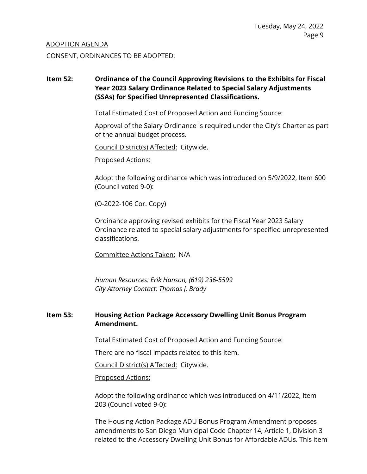#### ADOPTION AGENDA

CONSENT, ORDINANCES TO BE ADOPTED:

# **Item 52: Ordinance of the Council Approving Revisions to the Exhibits for Fiscal Year 2023 Salary Ordinance Related to Special Salary Adjustments (SSAs) for Specified Unrepresented Classifications.**

Total Estimated Cost of Proposed Action and Funding Source:

Approval of the Salary Ordinance is required under the City's Charter as part of the annual budget process.

Council District(s) Affected: Citywide.

Proposed Actions:

Adopt the following ordinance which was introduced on 5/9/2022, Item 600 (Council voted 9-0):

(O-2022-106 Cor. Copy)

Ordinance approving revised exhibits for the Fiscal Year 2023 Salary Ordinance related to special salary adjustments for specified unrepresented classifications.

Committee Actions Taken: N/A

*Human Resources: Erik Hanson, (619) 236-5599 City Attorney Contact: Thomas J. Brady*

# **Item 53: Housing Action Package Accessory Dwelling Unit Bonus Program Amendment.**

Total Estimated Cost of Proposed Action and Funding Source:

There are no fiscal impacts related to this item.

Council District(s) Affected: Citywide.

Proposed Actions:

Adopt the following ordinance which was introduced on 4/11/2022, Item 203 (Council voted 9-0):

The Housing Action Package ADU Bonus Program Amendment proposes amendments to San Diego Municipal Code Chapter 14, Article 1, Division 3 related to the Accessory Dwelling Unit Bonus for Affordable ADUs. This item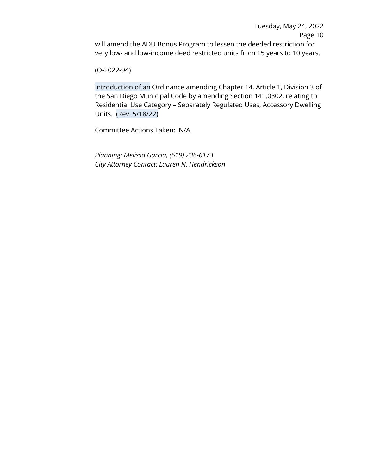Tuesday, May 24, 2022 Page 10 will amend the ADU Bonus Program to lessen the deeded restriction for very low- and low-income deed restricted units from 15 years to 10 years.

(O-2022-94)

Introduction of an Ordinance amending Chapter 14, Article 1, Division 3 of the San Diego Municipal Code by amending Section 141.0302, relating to Residential Use Category – Separately Regulated Uses, Accessory Dwelling Units. (Rev. 5/18/22)

Committee Actions Taken: N/A

*Planning: Melissa Garcia, (619) 236-6173 City Attorney Contact: Lauren N. Hendrickson*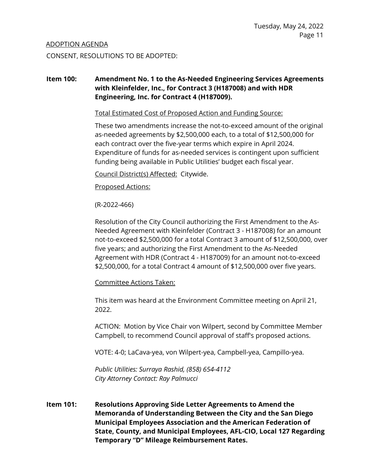#### ADOPTION AGENDA

CONSENT, RESOLUTIONS TO BE ADOPTED:

# **Item 100: Amendment No. 1 to the As-Needed Engineering Services Agreements with Kleinfelder, Inc., for Contract 3 (H187008) and with HDR Engineering, Inc. for Contract 4 (H187009).**

Total Estimated Cost of Proposed Action and Funding Source:

These two amendments increase the not-to-exceed amount of the original as-needed agreements by \$2,500,000 each, to a total of \$12,500,000 for each contract over the five-year terms which expire in April 2024. Expenditure of funds for as-needed services is contingent upon sufficient funding being available in Public Utilities' budget each fiscal year.

Council District(s) Affected: Citywide.

#### Proposed Actions:

(R-2022-466)

Resolution of the City Council authorizing the First Amendment to the As-Needed Agreement with Kleinfelder (Contract 3 - H187008) for an amount not-to-exceed \$2,500,000 for a total Contract 3 amount of \$12,500,000, over five years; and authorizing the First Amendment to the As-Needed Agreement with HDR (Contract 4 - H187009) for an amount not-to-exceed \$2,500,000, for a total Contract 4 amount of \$12,500,000 over five years.

Committee Actions Taken:

This item was heard at the Environment Committee meeting on April 21, 2022.

ACTION: Motion by Vice Chair von Wilpert, second by Committee Member Campbell, to recommend Council approval of staff's proposed actions.

VOTE: 4-0; LaCava-yea, von Wilpert-yea, Campbell-yea, Campillo-yea.

*Public Utilities: Surraya Rashid, (858) 654-4112 City Attorney Contact: Ray Palmucci*

**Item 101: Resolutions Approving Side Letter Agreements to Amend the Memoranda of Understanding Between the City and the San Diego Municipal Employees Association and the American Federation of State, County, and Municipal Employees, AFL-CIO, Local 127 Regarding Temporary "D" Mileage Reimbursement Rates.**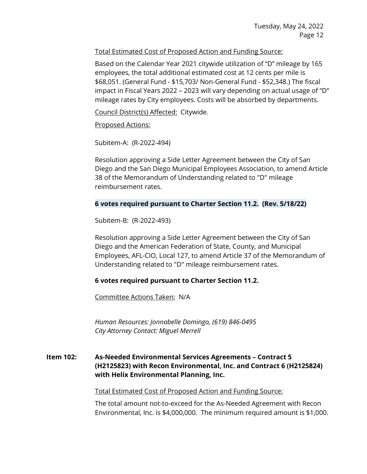# Total Estimated Cost of Proposed Action and Funding Source:

Based on the Calendar Year 2021 citywide utilization of "D" mileage by 165 employees, the total additional estimated cost at 12 cents per mile is \$68,051. (General Fund - \$15,703/ Non-General Fund - \$52,348.) The fiscal impact in Fiscal Years 2022 – 2023 will vary depending on actual usage of "D" mileage rates by City employees. Costs will be absorbed by departments.

Council District(s) Affected: Citywide.

Proposed Actions:

Subitem-A: (R-2022-494)

Resolution approving a Side Letter Agreement between the City of San Diego and the San Diego Municipal Employees Association, to amend Article 38 of the Memorandum of Understanding related to "D" mileage reimbursement rates.

#### **6 votes required pursuant to Charter Section 11.2. (Rev. 5/18/22)**

Subitem-B: (R-2022-493)

Resolution approving a Side Letter Agreement between the City of San Diego and the American Federation of State, County, and Municipal Employees, AFL-CIO, Local 127, to amend Article 37 of the Memorandum of Understanding related to "D" mileage reimbursement rates.

# **6 votes required pursuant to Charter Section 11.2.**

Committee Actions Taken: N/A

*Human Resources: Jonnabelle Domingo, (619) 846-0495 City Attorney Contact: Miguel Merrell*

# **Item 102: As-Needed Environmental Services Agreements – Contract 5 (H2125823) with Recon Environmental, Inc. and Contract 6 (H2125824) with Helix Environmental Planning, Inc.**

Total Estimated Cost of Proposed Action and Funding Source:

The total amount not-to-exceed for the As-Needed Agreement with Recon Environmental, Inc. is \$4,000,000. The minimum required amount is \$1,000.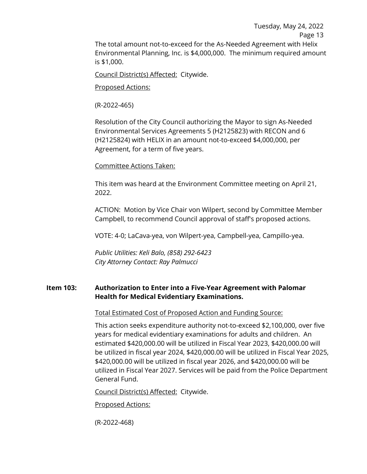Tuesday, May 24, 2022 Page 13 The total amount not-to-exceed for the As-Needed Agreement with Helix Environmental Planning, Inc. is \$4,000,000. The minimum required amount is \$1,000.

Council District(s) Affected: Citywide.

Proposed Actions:

(R-2022-465)

Resolution of the City Council authorizing the Mayor to sign As-Needed Environmental Services Agreements 5 (H2125823) with RECON and 6 (H2125824) with HELIX in an amount not-to-exceed \$4,000,000, per Agreement, for a term of five years.

#### Committee Actions Taken:

This item was heard at the Environment Committee meeting on April 21, 2022.

ACTION: Motion by Vice Chair von Wilpert, second by Committee Member Campbell, to recommend Council approval of staff's proposed actions.

VOTE: 4-0; LaCava-yea, von Wilpert-yea, Campbell-yea, Campillo-yea.

*Public Utilities: Keli Balo, (858) 292-6423 City Attorney Contact: Ray Palmucci*

# **Item 103: Authorization to Enter into a Five-Year Agreement with Palomar Health for Medical Evidentiary Examinations.**

Total Estimated Cost of Proposed Action and Funding Source:

This action seeks expenditure authority not-to-exceed \$2,100,000, over five years for medical evidentiary examinations for adults and children. An estimated \$420,000.00 will be utilized in Fiscal Year 2023, \$420,000.00 will be utilized in fiscal year 2024, \$420,000.00 will be utilized in Fiscal Year 2025, \$420,000.00 will be utilized in fiscal year 2026, and \$420,000.00 will be utilized in Fiscal Year 2027. Services will be paid from the Police Department General Fund.

Council District(s) Affected: Citywide.

#### Proposed Actions:

(R-2022-468)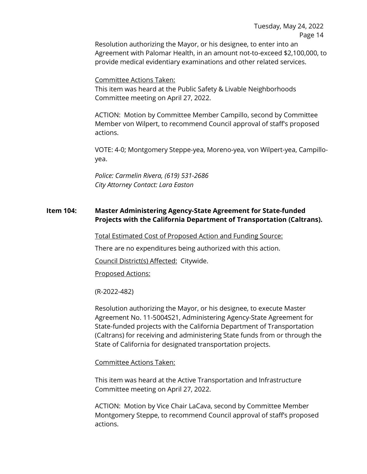Tuesday, May 24, 2022 Page 14

Resolution authorizing the Mayor, or his designee, to enter into an Agreement with Palomar Health, in an amount not-to-exceed \$2,100,000, to provide medical evidentiary examinations and other related services.

Committee Actions Taken:

This item was heard at the Public Safety & Livable Neighborhoods Committee meeting on April 27, 2022.

ACTION: Motion by Committee Member Campillo, second by Committee Member von Wilpert, to recommend Council approval of staff's proposed actions.

VOTE: 4-0; Montgomery Steppe-yea, Moreno-yea, von Wilpert-yea, Campilloyea.

*Police: Carmelin Rivera, (619) 531-2686 City Attorney Contact: Lara Easton*

# **Item 104: Master Administering Agency-State Agreement for State-funded Projects with the California Department of Transportation (Caltrans).**

Total Estimated Cost of Proposed Action and Funding Source:

There are no expenditures being authorized with this action.

Council District(s) Affected: Citywide.

Proposed Actions:

(R-2022-482)

Resolution authorizing the Mayor, or his designee, to execute Master Agreement No. 11-5004S21, Administering Agency-State Agreement for State-funded projects with the California Department of Transportation (Caltrans) for receiving and administering State funds from or through the State of California for designated transportation projects.

#### Committee Actions Taken:

This item was heard at the Active Transportation and Infrastructure Committee meeting on April 27, 2022.

ACTION: Motion by Vice Chair LaCava, second by Committee Member Montgomery Steppe, to recommend Council approval of staff's proposed actions.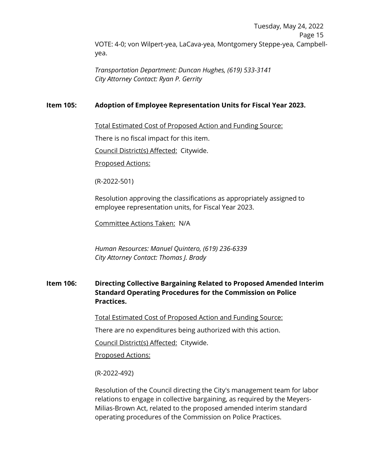Tuesday, May 24, 2022 Page 15 VOTE: 4-0; von Wilpert-yea, LaCava-yea, Montgomery Steppe-yea, Campbellyea.

*Transportation Department: Duncan Hughes, (619) 533-3141 City Attorney Contact: Ryan P. Gerrity*

# **Item 105: Adoption of Employee Representation Units for Fiscal Year 2023.**

Total Estimated Cost of Proposed Action and Funding Source:

There is no fiscal impact for this item.

Council District(s) Affected: Citywide.

Proposed Actions:

(R-2022-501)

Resolution approving the classifications as appropriately assigned to employee representation units, for Fiscal Year 2023.

Committee Actions Taken: N/A

*Human Resources: Manuel Quintero, (619) 236-6339 City Attorney Contact: Thomas J. Brady*

# **Item 106: Directing Collective Bargaining Related to Proposed Amended Interim Standard Operating Procedures for the Commission on Police Practices.**

Total Estimated Cost of Proposed Action and Funding Source:

There are no expenditures being authorized with this action.

Council District(s) Affected: Citywide.

Proposed Actions:

(R-2022-492)

Resolution of the Council directing the City's management team for labor relations to engage in collective bargaining, as required by the Meyers-Milias-Brown Act, related to the proposed amended interim standard operating procedures of the Commission on Police Practices.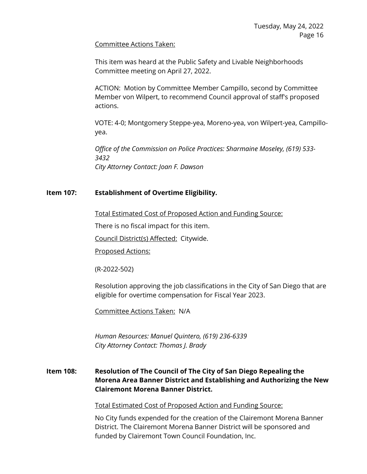#### Committee Actions Taken:

This item was heard at the Public Safety and Livable Neighborhoods Committee meeting on April 27, 2022.

ACTION: Motion by Committee Member Campillo, second by Committee Member von Wilpert, to recommend Council approval of staff's proposed actions.

VOTE: 4-0; Montgomery Steppe-yea, Moreno-yea, von Wilpert-yea, Campilloyea.

*Office of the Commission on Police Practices: Sharmaine Moseley, (619) 533- 3432 City Attorney Contact: Joan F. Dawson*

# **Item 107: Establishment of Overtime Eligibility.**

Total Estimated Cost of Proposed Action and Funding Source:

There is no fiscal impact for this item.

Council District(s) Affected: Citywide.

Proposed Actions:

(R-2022-502)

Resolution approving the job classifications in the City of San Diego that are eligible for overtime compensation for Fiscal Year 2023.

Committee Actions Taken: N/A

*Human Resources: Manuel Quintero, (619) 236-6339 City Attorney Contact: Thomas J. Brady*

# **Item 108: Resolution of The Council of The City of San Diego Repealing the Morena Area Banner District and Establishing and Authorizing the New Clairemont Morena Banner District.**

Total Estimated Cost of Proposed Action and Funding Source:

No City funds expended for the creation of the Clairemont Morena Banner District. The Clairemont Morena Banner District will be sponsored and funded by Clairemont Town Council Foundation, Inc.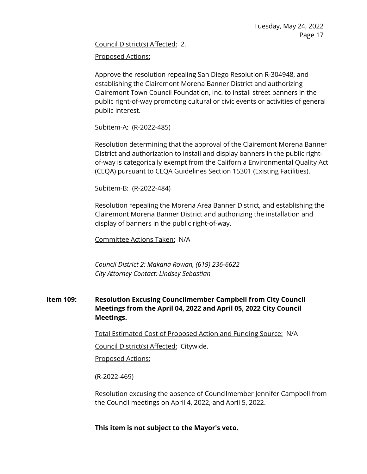Council District(s) Affected: 2.

Proposed Actions:

Approve the resolution repealing San Diego Resolution R-304948, and establishing the Clairemont Morena Banner District and authorizing Clairemont Town Council Foundation, Inc. to install street banners in the public right-of-way promoting cultural or civic events or activities of general public interest.

Subitem-A: (R-2022-485)

Resolution determining that the approval of the Clairemont Morena Banner District and authorization to install and display banners in the public rightof-way is categorically exempt from the California Environmental Quality Act (CEQA) pursuant to CEQA Guidelines Section 15301 (Existing Facilities).

Subitem-B: (R-2022-484)

Resolution repealing the Morena Area Banner District, and establishing the Clairemont Morena Banner District and authorizing the installation and display of banners in the public right-of-way.

Committee Actions Taken: N/A

*Council District 2: Makana Rowan, (619) 236-6622 City Attorney Contact: Lindsey Sebastian*

# **Item 109: Resolution Excusing Councilmember Campbell from City Council Meetings from the April 04, 2022 and April 05, 2022 City Council Meetings.**

Total Estimated Cost of Proposed Action and Funding Source: N/A

Council District(s) Affected: Citywide.

Proposed Actions:

(R-2022-469)

Resolution excusing the absence of Councilmember Jennifer Campbell from the Council meetings on April 4, 2022, and April 5, 2022.

**This item is not subject to the Mayor's veto.**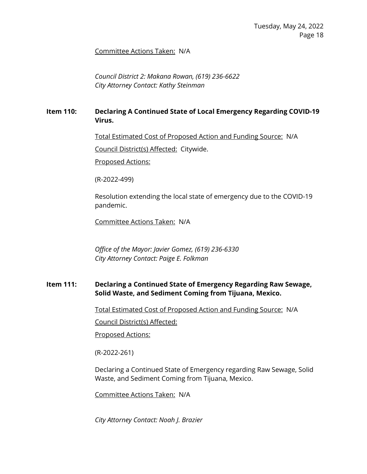#### Committee Actions Taken: N/A

*Council District 2: Makana Rowan, (619) 236-6622 City Attorney Contact: Kathy Steinman*

# **Item 110: Declaring A Continued State of Local Emergency Regarding COVID-19 Virus.**

Total Estimated Cost of Proposed Action and Funding Source: N/A

Council District(s) Affected: Citywide.

Proposed Actions:

(R-2022-499)

Resolution extending the local state of emergency due to the COVID-19 pandemic.

Committee Actions Taken: N/A

*Office of the Mayor: Javier Gomez, (619) 236-6330 City Attorney Contact: Paige E. Folkman*

# **Item 111: Declaring a Continued State of Emergency Regarding Raw Sewage, Solid Waste, and Sediment Coming from Tijuana, Mexico.**

Total Estimated Cost of Proposed Action and Funding Source: N/A

Council District(s) Affected:

Proposed Actions:

(R-2022-261)

Declaring a Continued State of Emergency regarding Raw Sewage, Solid Waste, and Sediment Coming from Tijuana, Mexico.

Committee Actions Taken: N/A

*City Attorney Contact: Noah J. Brazier*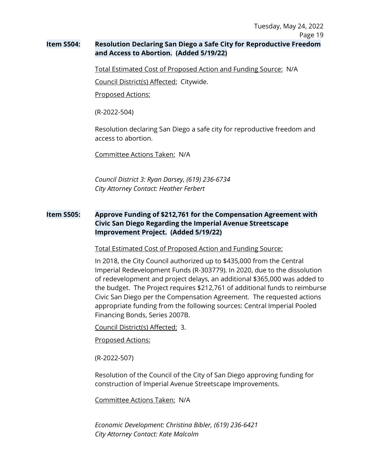# **Item S504: Resolution Declaring San Diego a Safe City for Reproductive Freedom and Access to Abortion. (Added 5/19/22)**

Total Estimated Cost of Proposed Action and Funding Source: N/A

Council District(s) Affected: Citywide.

Proposed Actions:

(R-2022-504)

Resolution declaring San Diego a safe city for reproductive freedom and access to abortion.

Committee Actions Taken: N/A

*Council District 3: Ryan Darsey, (619) 236-6734 City Attorney Contact: Heather Ferbert*

# **Item S505: Approve Funding of \$212,761 for the Compensation Agreement with Civic San Diego Regarding the Imperial Avenue Streetscape Improvement Project. (Added 5/19/22)**

Total Estimated Cost of Proposed Action and Funding Source:

In 2018, the City Council authorized up to \$435,000 from the Central Imperial Redevelopment Funds (R-303779). In 2020, due to the dissolution of redevelopment and project delays, an additional \$365,000 was added to the budget. The Project requires \$212,761 of additional funds to reimburse Civic San Diego per the Compensation Agreement. The requested actions appropriate funding from the following sources: Central Imperial Pooled Financing Bonds, Series 2007B.

Council District(s) Affected: 3.

Proposed Actions:

(R-2022-507)

Resolution of the Council of the City of San Diego approving funding for construction of Imperial Avenue Streetscape Improvements.

Committee Actions Taken: N/A

*Economic Development: Christina Bibler, (619) 236-6421 City Attorney Contact: Kate Malcolm*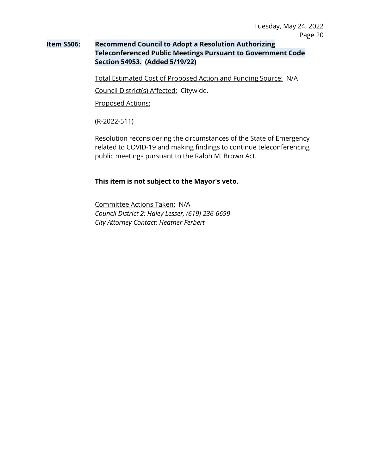# **Item S506: Recommend Council to Adopt a Resolution Authorizing Teleconferenced Public Meetings Pursuant to Government Code Section 54953. (Added 5/19/22)**

Total Estimated Cost of Proposed Action and Funding Source: N/A

Council District(s) Affected: Citywide.

Proposed Actions:

(R-2022-511)

Resolution reconsidering the circumstances of the State of Emergency related to COVID-19 and making findings to continue teleconferencing public meetings pursuant to the Ralph M. Brown Act.

#### **This item is not subject to the Mayor's veto.**

Committee Actions Taken: N/A *Council District 2: Haley Lesser, (619) 236-6699 City Attorney Contact: Heather Ferbert*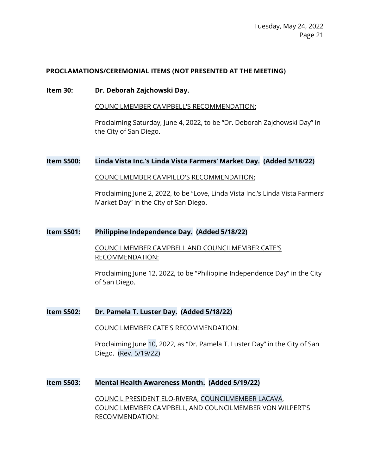#### **PROCLAMATIONS/CEREMONIAL ITEMS (NOT PRESENTED AT THE MEETING)**

#### **Item 30: Dr. Deborah Zajchowski Day.**

COUNCILMEMBER CAMPBELL'S RECOMMENDATION:

Proclaiming Saturday, June 4, 2022, to be "Dr. Deborah Zajchowski Day" in the City of San Diego.

#### **Item S500: Linda Vista Inc.'s Linda Vista Farmers' Market Day. (Added 5/18/22)**

COUNCILMEMBER CAMPILLO'S RECOMMENDATION:

Proclaiming June 2, 2022, to be "Love, Linda Vista Inc.'s Linda Vista Farmers' Market Day" in the City of San Diego.

#### **Item S501: Philippine Independence Day. (Added 5/18/22)**

COUNCILMEMBER CAMPBELL AND COUNCILMEMBER CATE'S RECOMMENDATION:

Proclaiming June 12, 2022, to be "Philippine Independence Day" in the City of San Diego.

#### **Item S502: Dr. Pamela T. Luster Day. (Added 5/18/22)**

COUNCILMEMBER CATE'S RECOMMENDATION:

Proclaiming June 10, 2022, as "Dr. Pamela T. Luster Day" in the City of San Diego. (Rev. 5/19/22)

#### **Item S503: Mental Health Awareness Month. (Added 5/19/22)**

COUNCIL PRESIDENT ELO-RIVERA, COUNCILMEMBER LACAVA, COUNCILMEMBER CAMPBELL, AND COUNCILMEMBER VON WILPERT'S RECOMMENDATION: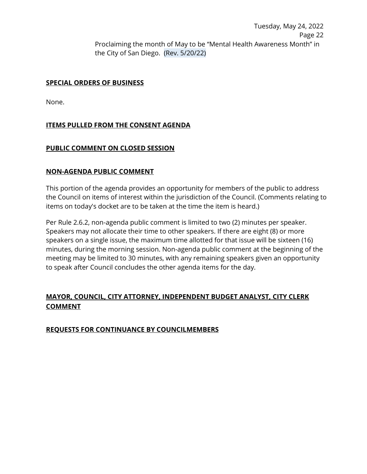Tuesday, May 24, 2022 Page 22 Proclaiming the month of May to be "Mental Health Awareness Month" in the City of San Diego. (Rev. 5/20/22)

#### **SPECIAL ORDERS OF BUSINESS**

None.

# **ITEMS PULLED FROM THE CONSENT AGENDA**

#### **PUBLIC COMMENT ON CLOSED SESSION**

#### **NON-AGENDA PUBLIC COMMENT**

This portion of the agenda provides an opportunity for members of the public to address the Council on items of interest within the jurisdiction of the Council. (Comments relating to items on today's docket are to be taken at the time the item is heard.)

Per Rule 2.6.2, non-agenda public comment is limited to two (2) minutes per speaker. Speakers may not allocate their time to other speakers. If there are eight (8) or more speakers on a single issue, the maximum time allotted for that issue will be sixteen (16) minutes, during the morning session. Non-agenda public comment at the beginning of the meeting may be limited to 30 minutes, with any remaining speakers given an opportunity to speak after Council concludes the other agenda items for the day.

# **MAYOR, COUNCIL, CITY ATTORNEY, INDEPENDENT BUDGET ANALYST, CITY CLERK COMMENT**

# **REQUESTS FOR CONTINUANCE BY COUNCILMEMBERS**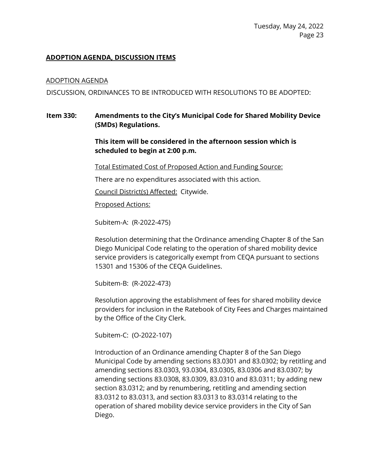# **ADOPTION AGENDA, DISCUSSION ITEMS**

#### ADOPTION AGENDA

DISCUSSION, ORDINANCES TO BE INTRODUCED WITH RESOLUTIONS TO BE ADOPTED:

# **Item 330: Amendments to the City's Municipal Code for Shared Mobility Device (SMDs) Regulations.**

# **This item will be considered in the afternoon session which is scheduled to begin at 2:00 p.m.**

Total Estimated Cost of Proposed Action and Funding Source:

There are no expenditures associated with this action.

Council District(s) Affected: Citywide.

Proposed Actions:

Subitem-A: (R-2022-475)

Resolution determining that the Ordinance amending Chapter 8 of the San Diego Municipal Code relating to the operation of shared mobility device service providers is categorically exempt from CEQA pursuant to sections 15301 and 15306 of the CEQA Guidelines.

Subitem-B: (R-2022-473)

Resolution approving the establishment of fees for shared mobility device providers for inclusion in the Ratebook of City Fees and Charges maintained by the Office of the City Clerk.

Subitem-C: (O-2022-107)

Introduction of an Ordinance amending Chapter 8 of the San Diego Municipal Code by amending sections 83.0301 and 83.0302; by retitling and amending sections 83.0303, 93.0304, 83.0305, 83.0306 and 83.0307; by amending sections 83.0308, 83.0309, 83.0310 and 83.0311; by adding new section 83.0312; and by renumbering, retitling and amending section 83.0312 to 83.0313, and section 83.0313 to 83.0314 relating to the operation of shared mobility device service providers in the City of San Diego.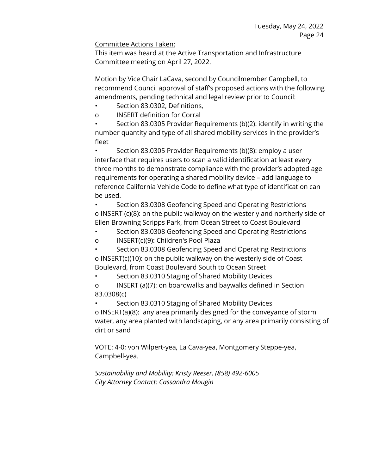# Committee Actions Taken:

This item was heard at the Active Transportation and Infrastructure Committee meeting on April 27, 2022.

Motion by Vice Chair LaCava, second by Councilmember Campbell, to recommend Council approval of staff's proposed actions with the following amendments, pending technical and legal review prior to Council:

- Section 83.0302, Definitions,
- o INSERT definition for Corral

• Section 83.0305 Provider Requirements (b)(2): identify in writing the number quantity and type of all shared mobility services in the provider's fleet

• Section 83.0305 Provider Requirements (b)(8): employ a user interface that requires users to scan a valid identification at least every three months to demonstrate compliance with the provider's adopted age requirements for operating a shared mobility device – add language to reference California Vehicle Code to define what type of identification can be used.

• Section 83.0308 Geofencing Speed and Operating Restrictions o INSERT (c)(8): on the public walkway on the westerly and northerly side of Ellen Browning Scripps Park, from Ocean Street to Coast Boulevard

- Section 83.0308 Geofencing Speed and Operating Restrictions
- o INSERT(c)(9): Children's Pool Plaza

• Section 83.0308 Geofencing Speed and Operating Restrictions o INSERT(c)(10): on the public walkway on the westerly side of Coast Boulevard, from Coast Boulevard South to Ocean Street

• Section 83.0310 Staging of Shared Mobility Devices

o INSERT (a)(7): on boardwalks and baywalks defined in Section 83.0308(c)

• Section 83.0310 Staging of Shared Mobility Devices o INSERT(a)(8): any area primarily designed for the conveyance of storm water, any area planted with landscaping, or any area primarily consisting of dirt or sand

VOTE: 4-0; von Wilpert-yea, La Cava-yea, Montgomery Steppe-yea, Campbell-yea.

*Sustainability and Mobility: Kristy Reeser, (858) 492-6005 City Attorney Contact: Cassandra Mougin*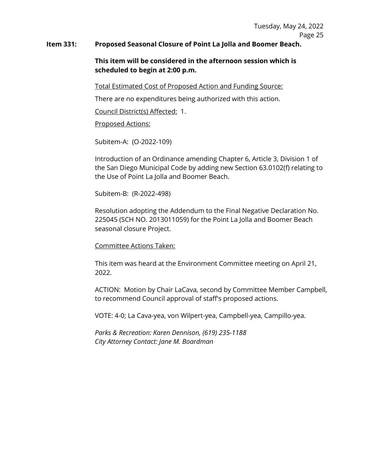#### **Item 331: Proposed Seasonal Closure of Point La Jolla and Boomer Beach.**

# **This item will be considered in the afternoon session which is scheduled to begin at 2:00 p.m.**

Total Estimated Cost of Proposed Action and Funding Source:

There are no expenditures being authorized with this action.

Council District(s) Affected: 1.

# Proposed Actions:

Subitem-A: (O-2022-109)

Introduction of an Ordinance amending Chapter 6, Article 3, Division 1 of the San Diego Municipal Code by adding new Section 63.0102(f) relating to the Use of Point La Jolla and Boomer Beach.

Subitem-B: (R-2022-498)

Resolution adopting the Addendum to the Final Negative Declaration No. 225045 (SCH NO. 2013011059) for the Point La Jolla and Boomer Beach seasonal closure Project.

# Committee Actions Taken:

This item was heard at the Environment Committee meeting on April 21, 2022.

ACTION: Motion by Chair LaCava, second by Committee Member Campbell, to recommend Council approval of staff's proposed actions.

VOTE: 4-0; La Cava-yea, von Wilpert-yea, Campbell-yea, Campillo-yea.

*Parks & Recreation: Karen Dennison, (619) 235-1188 City Attorney Contact: Jane M. Boardman*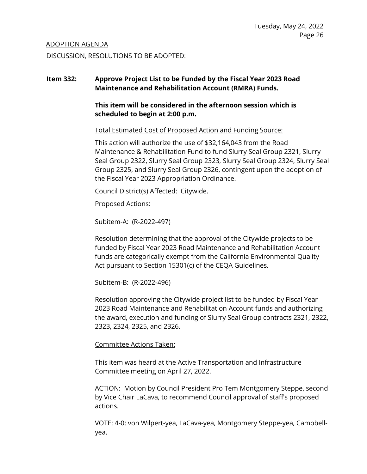#### ADOPTION AGENDA

DISCUSSION, RESOLUTIONS TO BE ADOPTED:

# **Item 332: Approve Project List to be Funded by the Fiscal Year 2023 Road Maintenance and Rehabilitation Account (RMRA) Funds.**

**This item will be considered in the afternoon session which is scheduled to begin at 2:00 p.m.**

Total Estimated Cost of Proposed Action and Funding Source:

This action will authorize the use of \$32,164,043 from the Road Maintenance & Rehabilitation Fund to fund Slurry Seal Group 2321, Slurry Seal Group 2322, Slurry Seal Group 2323, Slurry Seal Group 2324, Slurry Seal Group 2325, and Slurry Seal Group 2326, contingent upon the adoption of the Fiscal Year 2023 Appropriation Ordinance.

Council District(s) Affected: Citywide.

Proposed Actions:

Subitem-A: (R-2022-497)

Resolution determining that the approval of the Citywide projects to be funded by Fiscal Year 2023 Road Maintenance and Rehabilitation Account funds are categorically exempt from the California Environmental Quality Act pursuant to Section 15301(c) of the CEQA Guidelines.

Subitem-B: (R-2022-496)

Resolution approving the Citywide project list to be funded by Fiscal Year 2023 Road Maintenance and Rehabilitation Account funds and authorizing the award, execution and funding of Slurry Seal Group contracts 2321, 2322, 2323, 2324, 2325, and 2326.

# Committee Actions Taken:

This item was heard at the Active Transportation and Infrastructure Committee meeting on April 27, 2022.

ACTION: Motion by Council President Pro Tem Montgomery Steppe, second by Vice Chair LaCava, to recommend Council approval of staff's proposed actions.

VOTE: 4-0; von Wilpert-yea, LaCava-yea, Montgomery Steppe-yea, Campbellyea.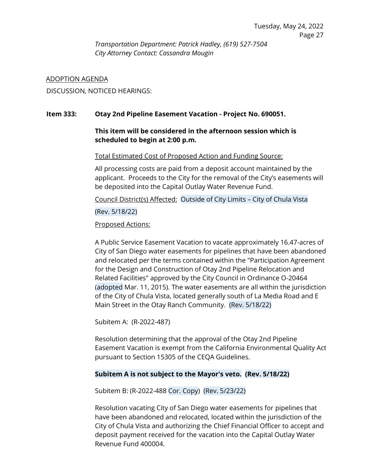*Transportation Department: Patrick Hadley, (619) 527-7504 City Attorney Contact: Cassandra Mougin*

#### ADOPTION AGENDA

DISCUSSION, NOTICED HEARINGS:

#### **Item 333: Otay 2nd Pipeline Easement Vacation - Project No. 690051.**

# **This item will be considered in the afternoon session which is scheduled to begin at 2:00 p.m.**

Total Estimated Cost of Proposed Action and Funding Source:

All processing costs are paid from a deposit account maintained by the applicant. Proceeds to the City for the removal of the City's easements will be deposited into the Capital Outlay Water Revenue Fund.

Council District(s) Affected: Outside of City Limits – City of Chula Vista

(Rev. 5/18/22)

Proposed Actions:

A Public Service Easement Vacation to vacate approximately 16.47-acres of City of San Diego water easements for pipelines that have been abandoned and relocated per the terms contained within the "Participation Agreement for the Design and Construction of Otay 2nd Pipeline Relocation and Related Facilities" approved by the City Council in Ordinance O-20464 (adopted Mar. 11, 2015). The water easements are all within the jurisdiction of the City of Chula Vista, located generally south of La Media Road and E Main Street in the Otay Ranch Community. (Rev. 5/18/22)

Subitem A: (R-2022-487)

Resolution determining that the approval of the Otay 2nd Pipeline Easement Vacation is exempt from the California Environmental Quality Act pursuant to Section 15305 of the CEQA Guidelines.

# **Subitem A is not subject to the Mayor's veto. (Rev. 5/18/22)**

Subitem B: (R-2022-488 Cor. Copy) (Rev. 5/23/22)

Resolution vacating City of San Diego water easements for pipelines that have been abandoned and relocated, located within the jurisdiction of the City of Chula Vista and authorizing the Chief Financial Officer to accept and deposit payment received for the vacation into the Capital Outlay Water Revenue Fund 400004.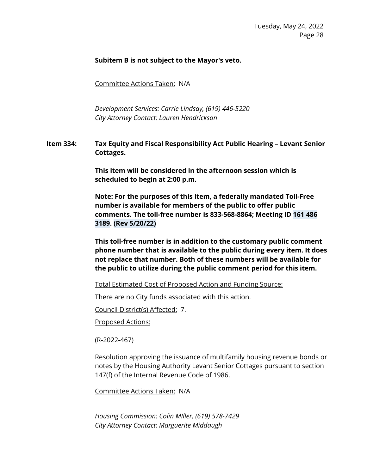# **Subitem B is not subject to the Mayor's veto.**

Committee Actions Taken: N/A

*Development Services: Carrie Lindsay, (619) 446-5220 City Attorney Contact: Lauren Hendrickson*

**Item 334: Tax Equity and Fiscal Responsibility Act Public Hearing – Levant Senior Cottages.** 

> **This item will be considered in the afternoon session which is scheduled to begin at 2:00 p.m.**

**Note: For the purposes of this item, a federally mandated Toll-Free number is available for members of the public to offer public comments. The toll-free number is 833-568-8864; Meeting ID 161 486 3189. (Rev 5/20/22)**

**This toll-free number is in addition to the customary public comment phone number that is available to the public during every item. It does not replace that number. Both of these numbers will be available for the public to utilize during the public comment period for this item.**

Total Estimated Cost of Proposed Action and Funding Source:

There are no City funds associated with this action.

Council District(s) Affected: 7.

Proposed Actions:

(R-2022-467)

Resolution approving the issuance of multifamily housing revenue bonds or notes by the Housing Authority Levant Senior Cottages pursuant to section 147(f) of the Internal Revenue Code of 1986.

Committee Actions Taken: N/A

*Housing Commission: Colin MIller, (619) 578-7429 City Attorney Contact: Marguerite Middaugh*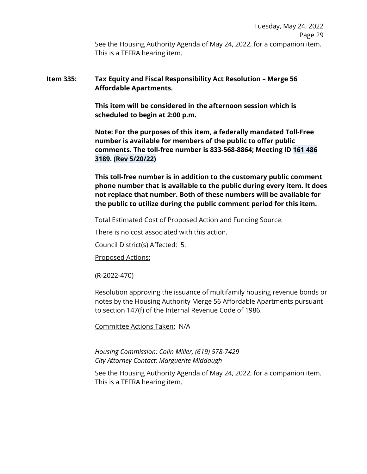Tuesday, May 24, 2022 Page 29 See the Housing Authority Agenda of May 24, 2022, for a companion item. This is a TEFRA hearing item.

# **Item 335: Tax Equity and Fiscal Responsibility Act Resolution – Merge 56 Affordable Apartments.**

**This item will be considered in the afternoon session which is scheduled to begin at 2:00 p.m.**

**Note: For the purposes of this item, a federally mandated Toll-Free number is available for members of the public to offer public comments. The toll-free number is 833-568-8864; Meeting ID 161 486 3189. (Rev 5/20/22)**

**This toll-free number is in addition to the customary public comment phone number that is available to the public during every item. It does not replace that number. Both of these numbers will be available for the public to utilize during the public comment period for this item.**

#### Total Estimated Cost of Proposed Action and Funding Source:

There is no cost associated with this action.

Council District(s) Affected: 5.

Proposed Actions:

(R-2022-470)

Resolution approving the issuance of multifamily housing revenue bonds or notes by the Housing Authority Merge 56 Affordable Apartments pursuant to section 147(f) of the Internal Revenue Code of 1986.

Committee Actions Taken: N/A

*Housing Commission: Colin Miller, (619) 578-7429 City Attorney Contact: Marguerite Middaugh*

See the Housing Authority Agenda of May 24, 2022, for a companion item. This is a TEFRA hearing item.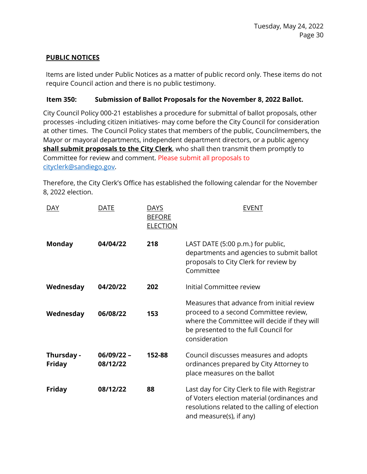# **PUBLIC NOTICES**

Items are listed under Public Notices as a matter of public record only. These items do not require Council action and there is no public testimony.

# **Item 350: Submission of Ballot Proposals for the November 8, 2022 Ballot.**

City Council Policy 000-21 establishes a procedure for submittal of ballot proposals, other processes -including citizen initiatives- may come before the City Council for consideration at other times. The Council Policy states that members of the public, Councilmembers, the Mayor or mayoral departments, independent department directors, or a public agency **shall submit proposals to the City Clerk**, who shall then transmit them promptly to Committee for review and comment. Please submit all proposals to [cityclerk@sandiego.gov.](mailto:cityclerk@sandiego.gov)

Therefore, the City Clerk's Office has established the following calendar for the November 8, 2022 election.

| <b>DAY</b>                  | <b>DATE</b>              | DAYS<br><b>BEFORE</b><br><b>ELECTION</b> | <b>EVENT</b>                                                                                                                                                                                |
|-----------------------------|--------------------------|------------------------------------------|---------------------------------------------------------------------------------------------------------------------------------------------------------------------------------------------|
| <b>Monday</b>               | 04/04/22                 | 218                                      | LAST DATE (5:00 p.m.) for public,<br>departments and agencies to submit ballot<br>proposals to City Clerk for review by<br>Committee                                                        |
| Wednesday                   | 04/20/22                 | 202                                      | Initial Committee review                                                                                                                                                                    |
| Wednesday                   | 06/08/22                 | 153                                      | Measures that advance from initial review<br>proceed to a second Committee review,<br>where the Committee will decide if they will<br>be presented to the full Council for<br>consideration |
| Thursday -<br><b>Friday</b> | $06/09/22 -$<br>08/12/22 | 152-88                                   | Council discusses measures and adopts<br>ordinances prepared by City Attorney to<br>place measures on the ballot                                                                            |
| <b>Friday</b>               | 08/12/22                 | 88                                       | Last day for City Clerk to file with Registrar<br>of Voters election material (ordinances and<br>resolutions related to the calling of election<br>and measure(s), if any)                  |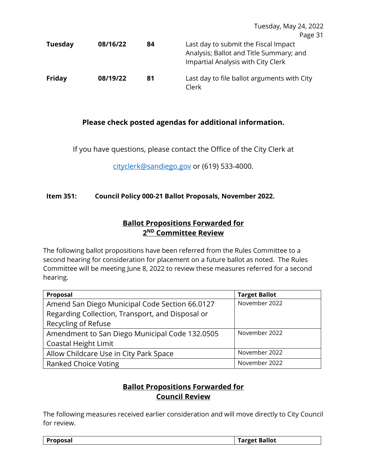|                |          |    | Tuesday, May 24, 2022                                                                                                 |
|----------------|----------|----|-----------------------------------------------------------------------------------------------------------------------|
|                |          |    | Page 31                                                                                                               |
| <b>Tuesday</b> | 08/16/22 | 84 | Last day to submit the Fiscal Impact<br>Analysis; Ballot and Title Summary; and<br>Impartial Analysis with City Clerk |
| Friday         | 08/19/22 | 81 | Last day to file ballot arguments with City<br>Clerk                                                                  |

# **Please check posted agendas for additional information.**

If you have questions, please contact the Office of the City Clerk at

[cityclerk@sandiego.gov](mailto:CITYCLERK@SANDIEGO.GOV) or (619) 533-4000.

# **Item 351: Council Policy 000-21 Ballot Proposals, November 2022.**

# **Ballot Propositions Forwarded for 2ND Committee Review**

The following ballot propositions have been referred from the Rules Committee to a second hearing for consideration for placement on a future ballot as noted. The Rules Committee will be meeting June 8, 2022 to review these measures referred for a second hearing.

| Proposal                                         | <b>Target Ballot</b> |
|--------------------------------------------------|----------------------|
| Amend San Diego Municipal Code Section 66.0127   | November 2022        |
| Regarding Collection, Transport, and Disposal or |                      |
| Recycling of Refuse                              |                      |
| Amendment to San Diego Municipal Code 132.0505   | November 2022        |
| Coastal Height Limit                             |                      |
| Allow Childcare Use in City Park Space           | November 2022        |
| <b>Ranked Choice Voting</b>                      | November 2022        |

# **Ballot Propositions Forwarded for Council Review**

The following measures received earlier consideration and will move directly to City Council for review.

| <b>Proposal</b> | <b>Target Ballot</b> |
|-----------------|----------------------|
|-----------------|----------------------|